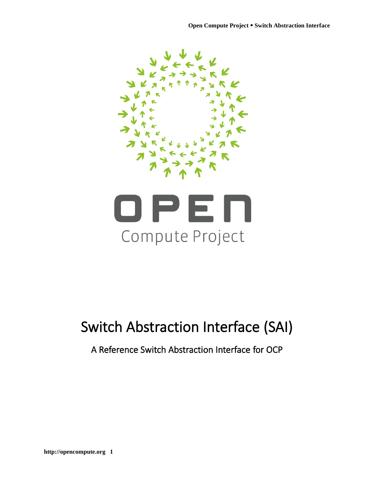



# <span id="page-0-0"></span>Switch Abstraction Interface (SAI)

# A Reference Switch Abstraction Interface for OCP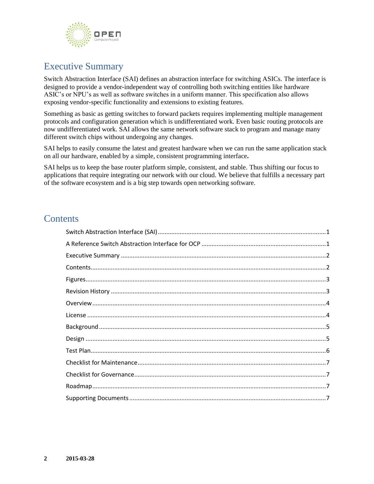

# <span id="page-1-0"></span>Executive Summary

Switch Abstraction Interface (SAI) defines an abstraction interface for switching ASICs. The interface is designed to provide a vendor-independent way of controlling both switching entities like hardware ASIC's or NPU's as well as software switches in a uniform manner. This specification also allows exposing vendor-specific functionality and extensions to existing features.

Something as basic as getting switches to forward packets requires implementing multiple management protocols and configuration generation which is undifferentiated work. Even basic routing protocols are now undifferentiated work. SAI allows the same network software stack to program and manage many different switch chips without undergoing any changes.

SAI helps to easily consume the latest and greatest hardware when we can run the same application stack on all our hardware, enabled by a simple, consistent programming interface**.** 

SAI helps us to keep the base router platform simple, consistent, and stable. Thus shifting our focus to applications that require integrating our network with our cloud. We believe that fulfills a necessary part of the software ecosystem and is a big step towards open networking software.

### <span id="page-1-1"></span>**Contents**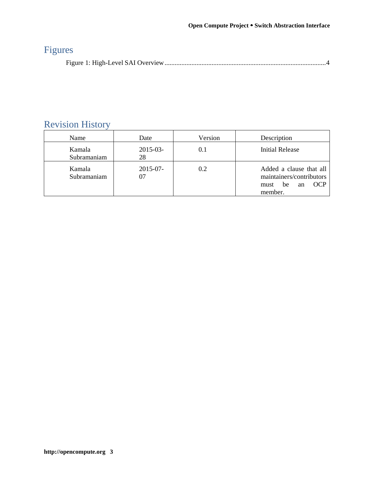# <span id="page-2-0"></span>Figures

<span id="page-2-1"></span>

|--|--|--|

# Revision History

| Name                  | Date              | Version | Description                                                                                      |
|-----------------------|-------------------|---------|--------------------------------------------------------------------------------------------------|
| Kamala<br>Subramaniam | $2015 - 03$<br>28 |         | <b>Initial Release</b>                                                                           |
| Kamala<br>Subramaniam | $2015 - 07$       | 0.2     | Added a clause that all<br>maintainers/contributors<br><b>OCP</b><br>be<br>must<br>an<br>member. |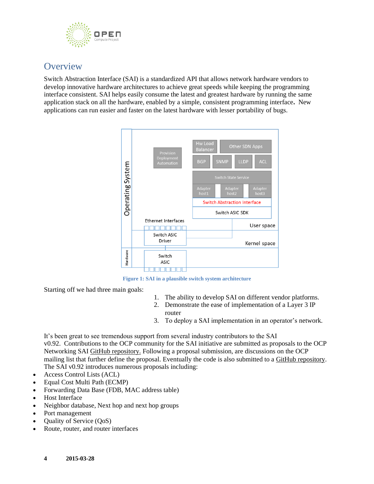

### <span id="page-3-0"></span>**Overview**

Switch Abstraction Interface (SAI) is a standardized API that allows network hardware vendors to develop innovative hardware architectures to achieve great speeds while keeping the programming interface consistent. SAI helps easily consume the latest and greatest hardware by running the same application stack on all the hardware, enabled by a simple, consistent programming interface**.** New applications can run easier and faster on the latest hardware with lesser portability of bugs.



**Figure 1: SAI in a plausible switch system architecture**

<span id="page-3-1"></span>Starting off we had three main goals:

- 1. The ability to develop SAI on different vendor platforms.
- 2. Demonstrate the ease of implementation of a Layer 3 IP router
- 3. To deploy a SAI implementation in an operator's network.

It's been great to see tremendous support from several industry contributors to the SAI v0.92. Contributions to the OCP community for the SAI initiative are submitted as proposals to the OCP Networking SAI GitHub [repository.](https://github.com/opencomputeproject/OCP-Networking-Project-Community-Contributions/tree/master/sai/doc) Following a proposal submission, are discussions on the OCP mailing list that further define the proposal. Eventually the code is also submitted to a GitHub [repository.](https://github.com/opencomputeproject/OCP-Networking-Project-Community-Contributions/tree/master/sai/inc) The SAI v0.92 introduces numerous proposals including:

- Access Control Lists (ACL)
- Equal Cost Multi Path (ECMP)
- Forwarding Data Base (FDB, MAC address table)
- Host Interface
- Neighbor database, Next hop and next hop groups
- Port management
- Quality of Service (QoS)
- Route, router, and router interfaces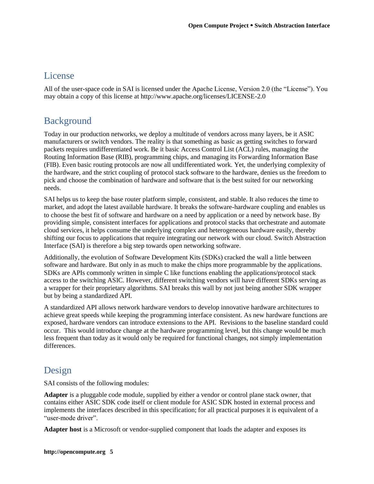### **License**

All of the user-space code in SAI is licensed under the Apache License, Version 2.0 (the "License"). You may obtain a copy of this license at http://www.apache.org/licenses/LICENSE-2.0

### <span id="page-4-0"></span>Background

<span id="page-4-1"></span>Today in our production networks, we deploy a multitude of vendors across many layers, be it ASIC manufacturers or switch vendors. The reality is that something as basic as getting switches to forward packets requires undifferentiated work. Be it basic Access Control List (ACL) rules, managing the Routing Information Base (RIB), programming chips, and managing its Forwarding Information Base (FIB). Even basic routing protocols are now all undifferentiated work. Yet, the underlying complexity of the hardware, and the strict coupling of protocol stack software to the hardware, denies us the freedom to pick and choose the combination of hardware and software that is the best suited for our networking needs.

SAI helps us to keep the base router platform simple, consistent, and stable. It also reduces the time to market, and adopt the latest available hardware. It breaks the software-hardware coupling and enables us to choose the best fit of software and hardware on a need by application or a need by network base. By providing simple, consistent interfaces for applications and protocol stacks that orchestrate and automate cloud services, it helps consume the underlying complex and heterogeneous hardware easily, thereby shifting our focus to applications that require integrating our network with our cloud. Switch Abstraction Interface (SAI) is therefore a big step towards open networking software.

Additionally, the evolution of Software Development Kits (SDKs) cracked the wall a little between software and hardware. But only in as much to make the chips more programmable by the applications. SDKs are APIs commonly written in simple C like functions enabling the applications/protocol stack access to the switching ASIC. However, different switching vendors will have different SDKs serving as a wrapper for their proprietary algorithms. SAI breaks this wall by not just being another SDK wrapper but by being a standardized API.

A standardized API allows network hardware vendors to develop innovative hardware architectures to achieve great speeds while keeping the programming interface consistent. As new hardware functions are exposed, hardware vendors can introduce extensions to the API. Revisions to the baseline standard could occur. This would introduce change at the hardware programming level, but this change would be much less frequent than today as it would only be required for functional changes, not simply implementation differences.

### Design

SAI consists of the following modules:

**Adapter** is a pluggable code module, supplied by either a vendor or control plane stack owner, that contains either ASIC SDK code itself or client module for ASIC SDK hosted in external process and implements the interfaces described in this specification; for all practical purposes it is equivalent of a "user-mode driver".

**Adapter host** is a Microsoft or vendor-supplied component that loads the adapter and exposes its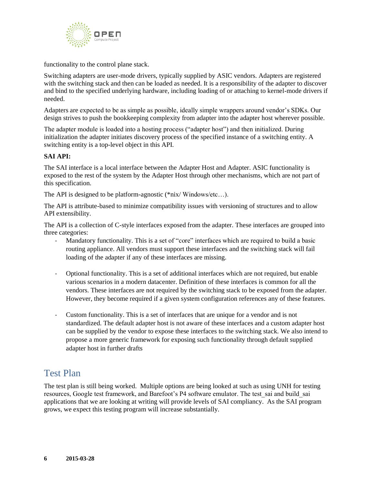

functionality to the control plane stack.

Switching adapters are user-mode drivers, typically supplied by ASIC vendors. Adapters are registered with the switching stack and then can be loaded as needed. It is a responsibility of the adapter to discover and bind to the specified underlying hardware, including loading of or attaching to kernel-mode drivers if needed.

Adapters are expected to be as simple as possible, ideally simple wrappers around vendor's SDKs. Our design strives to push the bookkeeping complexity from adapter into the adapter host wherever possible.

The adapter module is loaded into a hosting process ("adapter host") and then initialized. During initialization the adapter initiates discovery process of the specified instance of a switching entity. A switching entity is a top-level object in this API.

#### **SAI API:**

The SAI interface is a local interface between the Adapter Host and Adapter. ASIC functionality is exposed to the rest of the system by the Adapter Host through other mechanisms, which are not part of this specification.

The API is designed to be platform-agnostic (\*nix/ Windows/etc…).

The API is attribute-based to minimize compatibility issues with versioning of structures and to allow API extensibility.

The API is a collection of C-style interfaces exposed from the adapter. These interfaces are grouped into three categories:

- Mandatory functionality. This is a set of "core" interfaces which are required to build a basic routing appliance. All vendors must support these interfaces and the switching stack will fail loading of the adapter if any of these interfaces are missing.
- Optional functionality. This is a set of additional interfaces which are not required, but enable various scenarios in a modern datacenter. Definition of these interfaces is common for all the vendors. These interfaces are not required by the switching stack to be exposed from the adapter. However, they become required if a given system configuration references any of these features.
- Custom functionality. This is a set of interfaces that are unique for a vendor and is not standardized. The default adapter host is not aware of these interfaces and a custom adapter host can be supplied by the vendor to expose these interfaces to the switching stack. We also intend to propose a more generic framework for exposing such functionality through default supplied adapter host in further drafts

### <span id="page-5-0"></span>Test Plan

The test plan is still being worked. Multiple options are being looked at such as using UNH for testing resources, Google test framework, and Barefoot's P4 software emulator. The test\_sai and build\_sai applications that we are looking at writing will provide levels of SAI compliancy. As the SAI program grows, we expect this testing program will increase substantially.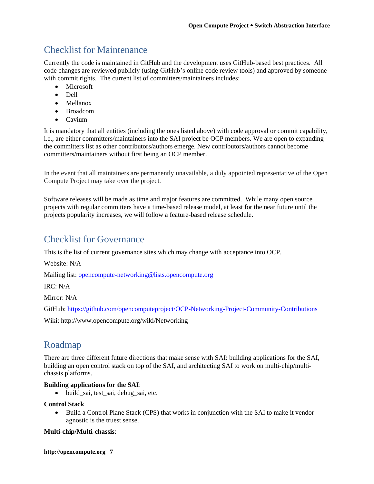# <span id="page-6-0"></span>Checklist for Maintenance

Currently the code is maintained in GitHub and the development uses GitHub-based best practices. All code changes are reviewed publicly (using GitHub's online code review tools) and approved by someone with commit rights. The current list of committers/maintainers includes:

- **Microsoft**
- Dell
- Mellanox
- Broadcom
- Cavium

It is mandatory that all entities (including the ones listed above) with code approval or commit capability, i.e., are either committers/maintainers into the SAI project be OCP members. We are open to expanding the committers list as other contributors/authors emerge. New contributors/authors cannot become committers/maintainers without first being an OCP member.

In the event that all maintainers are permanently unavailable, a duly appointed representative of the Open Compute Project may take over the project.

Software releases will be made as time and major features are committed. While many open source projects with regular committers have a time-based release model, at least for the near future until the projects popularity increases, we will follow a feature-based release schedule.

### <span id="page-6-1"></span>Checklist for Governance

This is the list of current governance sites which may change with acceptance into OCP.

Website: N/A

Mailing list: [opencompute-networking@lists.opencompute.org](mailto:opencompute-networking@lists.opencompute.org)

IRC: N/A

Mirror: N/A

GitHub:<https://github.com/opencomputeproject/OCP-Networking-Project-Community-Contributions>

<span id="page-6-3"></span><span id="page-6-2"></span>Wiki: http://www.opencompute.org/wiki/Networking

### Roadmap

There are three different future directions that make sense with SAI: building applications for the SAI, building an open control stack on top of the SAI, and architecting SAI to work on multi-chip/multichassis platforms.

#### **Building applications for the SAI**:

• build\_sai, test\_sai, debug\_sai, etc.

#### **Control Stack**

• Build a Control Plane Stack (CPS) that works in conjunction with the SAI to make it vendor agnostic is the truest sense.

#### **Multi-chip/Multi-chassis**:

**http://opencompute.org 7**